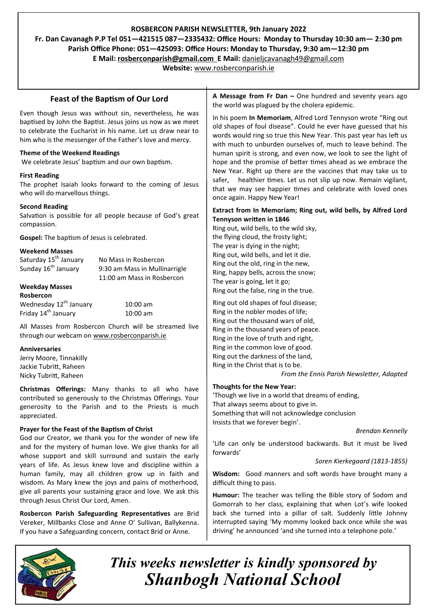# **ROSBERCON PARISH NEWSLETTER, 9th January 2022**

**Fr. Dan Cavanagh P.P Tel 051—421515 087—2335432: Office Hours: Monday to Thursday 10:30 am— 2:30 pm Parish Office Phone: 051—425093: Office Hours: Monday to Thursday, 9:30 am—12:30 pm**

**E Mail: rosberconparish@gmail.com E Mail:** [danieljcavanagh49@gmail.com](mailto:danieljcavanagh49@gmail.com)

**Website:** [www.rosberconparish.ie](http://www.rosberconparish.ie)

# **Feast of the Baptism of Our Lord**

Even though Jesus was without sin, nevertheless, he was baptised by John the Baptist. Jesus joins us now as we meet to celebrate the Eucharist in his name. Let us draw near to him who is the messenger of the Father's love and mercy.

### **Theme of the Weekend Readings**

We celebrate Jesus' baptism and our own baptism.

### **First Reading**

The prophet Isaiah looks forward to the coming of Jesus who will do marvellous things.

#### **Second Reading**

Salvation is possible for all people because of God's great compassion.

**Gospel:** The baptism of Jesus is celebrated.

### **Weekend Masses**

| Saturday 15 <sup>th</sup> January  | No Mass in Rosbercon          |
|------------------------------------|-------------------------------|
| Sunday 16 <sup>th</sup> January    | 9:30 am Mass in Mullinarrigle |
|                                    | 11:00 am Mass in Rosbercon    |
| <b>Weekday Masses</b>              |                               |
| Rosbercon                          |                               |
| Wednesday 12 <sup>th</sup> January | $10:00$ am                    |
| Friday 14 <sup>th</sup> January    | $10:00$ am                    |

All Masses from Rosbercon Church will be streamed live through our webcam on [www.rosberconparish.ie](http://www.rosberconparish.ie)

#### **Anniversaries**

Jerry Moore, Tinnakilly Jackie Tubritt, Raheen Nicky Tubritt, Raheen

**Christmas Offerings:** Many thanks to all who have contributed so generously to the Christmas Offerings. Your generosity to the Parish and to the Priests is much appreciated.

### **Prayer for the Feast of the Baptism of Christ**

God our Creator, we thank you for the wonder of new life and for the mystery of human love. We give thanks for all whose support and skill surround and sustain the early years of life. As Jesus knew love and discipline within a human family, may all children grow up in faith and wisdom. As Mary knew the joys and pains of motherhood, give all parents your sustaining grace and love. We ask this through Jesus Christ Our Lord, Amen.

**Rosbercon Parish Safeguarding Representatives** are Brid Vereker, Millbanks Close and Anne O' Sullivan, Ballykenna. If you have a Safeguarding concern, contact Brid or Anne.

**A Message from Fr Dan –** One hundred and seventy years ago the world was plagued by the cholera epidemic.

In his poem **In Memoriam**, Alfred Lord Tennyson wrote "Ring out old shapes of foul disease". Could he ever have guessed that his words would ring so true this New Year. This past year has left us with much to unburden ourselves of, much to leave behind. The human spirit is strong, and even now, we look to see the light of hope and the promise of better times ahead as we embrace the New Year. Right up there are the vaccines that may take us to safer, healthier times. Let us not slip up now. Remain vigilant, that we may see happier times and celebrate with loved ones once again. Happy New Year!

#### **Extract from In Memoriam; Ring out, wild bells, by Alfred Lord Tennyson written in 1846**

Ring out, wild bells, to the wild sky, the flying cloud, the frosty light; The year is dying in the night; Ring out, wild bells, and let it die. Ring out the old, ring in the new, Ring, happy bells, across the snow; The year is going, let it go; Ring out the false, ring in the true.

Ring out old shapes of foul disease; Ring in the nobler modes of life; Ring out the thousand wars of old, Ring in the thousand years of peace. Ring in the love of truth and right, Ring in the common love of good. Ring out the darkness of the land, Ring in the Christ that is to be.

*From the Ennis Parish Newsletter, Adapted*

### **Thoughts for the New Year:**

'Though we live in a world that dreams of ending, That always seems about to give in. Something that will not acknowledge conclusion Insists that we forever begin'.

*Brendan Kennelly*

'Life can only be understood backwards. But it must be lived forwards'

*Soren Kierkegaard (1813-1855)*

**Wisdom:** Good manners and soft words have brought many a difficult thing to pass.

**Humour:** The teacher was telling the Bible story of Sodom and Gomorrah to her class, explaining that when Lot's wife looked back she turned into a pillar of salt. Suddenly little Johnny interrupted saying 'My mommy looked back once while she was driving' he announced 'and she turned into a telephone pole.'



*This weeks newsletter is kindly sponsored by Shanbogh National School*